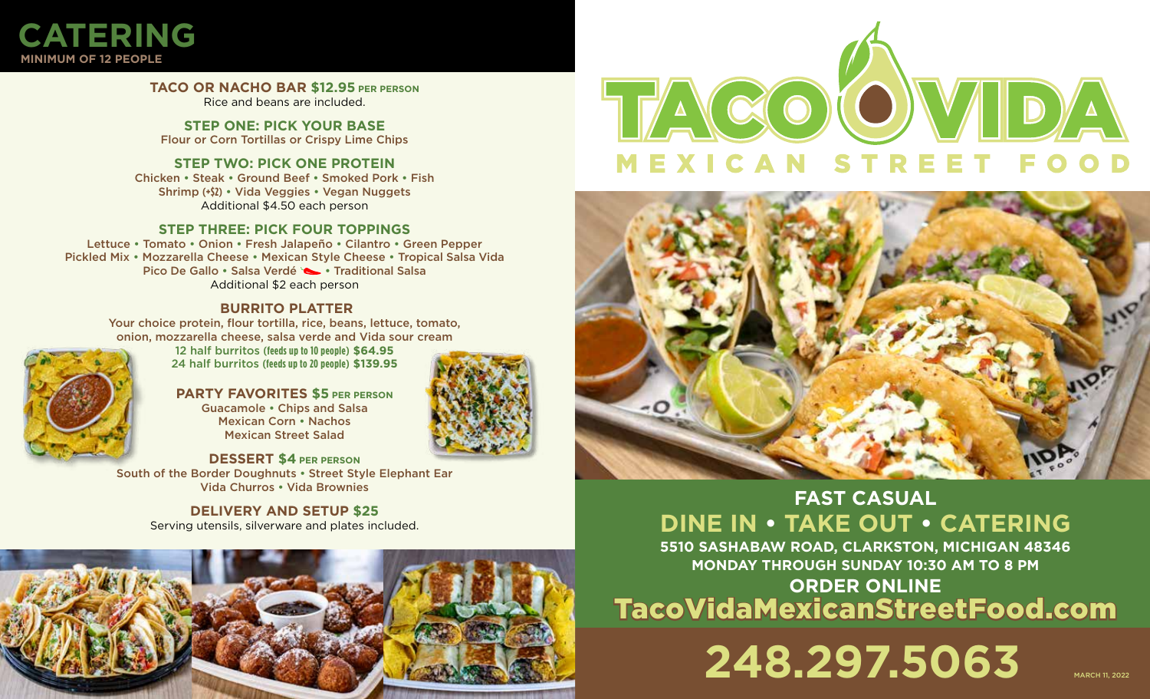

**TACO OR NACHO BAR \$12.95 PER PERSON** Rice and beans are included.

**STEP ONE: PICK YOUR BASE** Flour or Corn Tortillas or Crispy Lime Chips

**STEP TWO: PICK ONE PROTEIN** Chicken • Steak • Ground Beef • Smoked Pork • Fish Shrimp **(+\$2)** • Vida Veggies • Vegan Nuggets Additional \$4.50 each person

#### **STEP THREE: PICK FOUR TOPPINGS**

Lettuce • Tomato • Onion • Fresh Jalapeño • Cilantro • Green Pepper Pickled Mix • Mozzarella Cheese • Mexican Style Cheese • Tropical Salsa Vida Pico De Gallo • Salsa Verdé • Traditional Salsa Additional \$2 each person

#### **BURRITO PLATTER**

Your choice protein, flour tortilla, rice, beans, lettuce, tomato, onion, mozzarella cheese, salsa verde and Vida sour cream



12 half burritos **(feeds up to 10 people) \$64.95** 24 half burritos **(feeds up to 20 people) \$139.95**

# **PARTY FAVORITES \$5 PER PERSON**

Guacamole • Chips and Salsa Mexican Corn • Nachos Mexican Street Salad

**DESSERT \$4 PER PERSON** South of the Border Doughnuts • Street Style Elephant Ear Vida Churros • Vida Brownies

> **DELIVERY AND SETUP \$25** Serving utensils, silverware and plates included.







## **DINE IN • TAKE OUT • CATERING FAST CASUAL**

**5510 SASHABAW ROAD, CLARKSTON, MICHIGAN 48346 MONDAY THROUGH SUNDAY 10:30 AM TO 8 PM ORDER ONLINE** TacoVidaMexicanStreetFood.com

**248.297.5063**